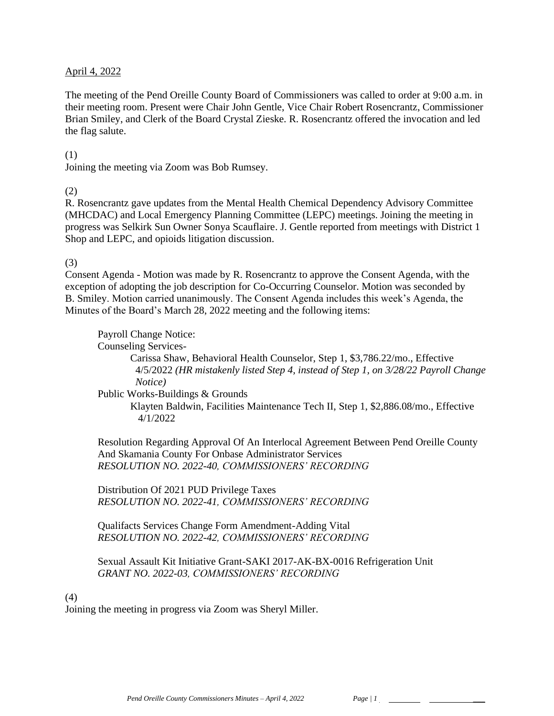### April 4, 2022

The meeting of the Pend Oreille County Board of Commissioners was called to order at 9:00 a.m. in their meeting room. Present were Chair John Gentle, Vice Chair Robert Rosencrantz, Commissioner Brian Smiley, and Clerk of the Board Crystal Zieske. R. Rosencrantz offered the invocation and led the flag salute.

### (1)

Joining the meeting via Zoom was Bob Rumsey.

### (2)

R. Rosencrantz gave updates from the Mental Health Chemical Dependency Advisory Committee (MHCDAC) and Local Emergency Planning Committee (LEPC) meetings. Joining the meeting in progress was Selkirk Sun Owner Sonya Scauflaire. J. Gentle reported from meetings with District 1 Shop and LEPC, and opioids litigation discussion.

### (3)

Consent Agenda - Motion was made by R. Rosencrantz to approve the Consent Agenda, with the exception of adopting the job description for Co-Occurring Counselor. Motion was seconded by B. Smiley. Motion carried unanimously. The Consent Agenda includes this week's Agenda, the Minutes of the Board's March 28, 2022 meeting and the following items:

Payroll Change Notice:

Counseling Services-

Carissa Shaw, Behavioral Health Counselor, Step 1, \$3,786.22/mo., Effective 4/5/2022 *(HR mistakenly listed Step 4, instead of Step 1, on 3/28/22 Payroll Change Notice)*

Public Works-Buildings & Grounds

Klayten Baldwin, Facilities Maintenance Tech II, Step 1, \$2,886.08/mo., Effective 4/1/2022

Resolution Regarding Approval Of An Interlocal Agreement Between Pend Oreille County And Skamania County For Onbase Administrator Services *RESOLUTION NO. 2022-40, COMMISSIONERS' RECORDING* 

Distribution Of 2021 PUD Privilege Taxes *RESOLUTION NO. 2022-41, COMMISSIONERS' RECORDING* 

Qualifacts Services Change Form Amendment-Adding Vital *RESOLUTION NO. 2022-42, COMMISSIONERS' RECORDING* 

Sexual Assault Kit Initiative Grant-SAKI 2017-AK-BX-0016 Refrigeration Unit *GRANT NO. 2022-03, COMMISSIONERS' RECORDING* 

### (4)

Joining the meeting in progress via Zoom was Sheryl Miller.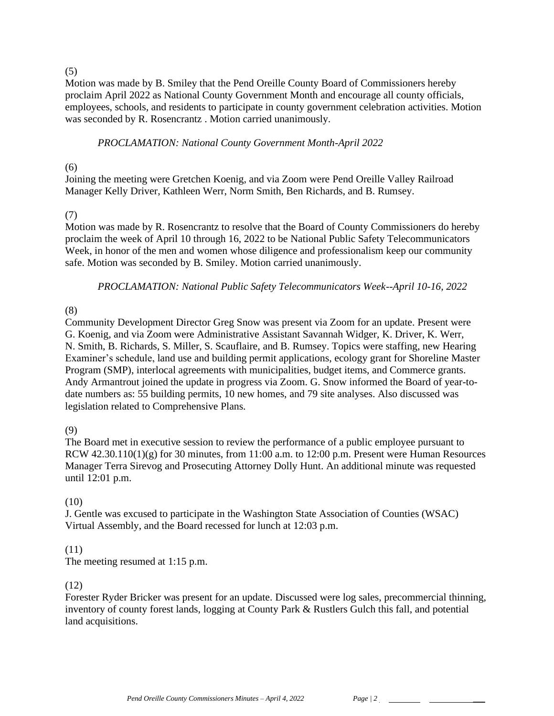### (5)

Motion was made by B. Smiley that the Pend Oreille County Board of Commissioners hereby proclaim April 2022 as National County Government Month and encourage all county officials, employees, schools, and residents to participate in county government celebration activities. Motion was seconded by R. Rosencrantz . Motion carried unanimously.

# *PROCLAMATION: National County Government Month-April 2022*

### $(6)$

Joining the meeting were Gretchen Koenig, and via Zoom were Pend Oreille Valley Railroad Manager Kelly Driver, Kathleen Werr, Norm Smith, Ben Richards, and B. Rumsey.

### (7)

Motion was made by R. Rosencrantz to resolve that the Board of County Commissioners do hereby proclaim the week of April 10 through 16, 2022 to be National Public Safety Telecommunicators Week, in honor of the men and women whose diligence and professionalism keep our community safe. Motion was seconded by B. Smiley. Motion carried unanimously.

*PROCLAMATION: National Public Safety Telecommunicators Week--April 10-16, 2022*

# (8)

Community Development Director Greg Snow was present via Zoom for an update. Present were G. Koenig, and via Zoom were Administrative Assistant Savannah Widger, K. Driver, K. Werr, N. Smith, B. Richards, S. Miller, S. Scauflaire, and B. Rumsey. Topics were staffing, new Hearing Examiner's schedule, land use and building permit applications, ecology grant for Shoreline Master Program (SMP), interlocal agreements with municipalities, budget items, and Commerce grants. Andy Armantrout joined the update in progress via Zoom. G. Snow informed the Board of year-todate numbers as: 55 building permits, 10 new homes, and 79 site analyses. Also discussed was legislation related to Comprehensive Plans.

# (9)

The Board met in executive session to review the performance of a public employee pursuant to RCW 42.30.110(1)(g) for 30 minutes, from 11:00 a.m. to 12:00 p.m. Present were Human Resources Manager Terra Sirevog and Prosecuting Attorney Dolly Hunt. An additional minute was requested until 12:01 p.m.

# (10)

J. Gentle was excused to participate in the Washington State Association of Counties (WSAC) Virtual Assembly, and the Board recessed for lunch at 12:03 p.m.

# (11)

The meeting resumed at 1:15 p.m.

# (12)

Forester Ryder Bricker was present for an update. Discussed were log sales, precommercial thinning, inventory of county forest lands, logging at County Park & Rustlers Gulch this fall, and potential land acquisitions.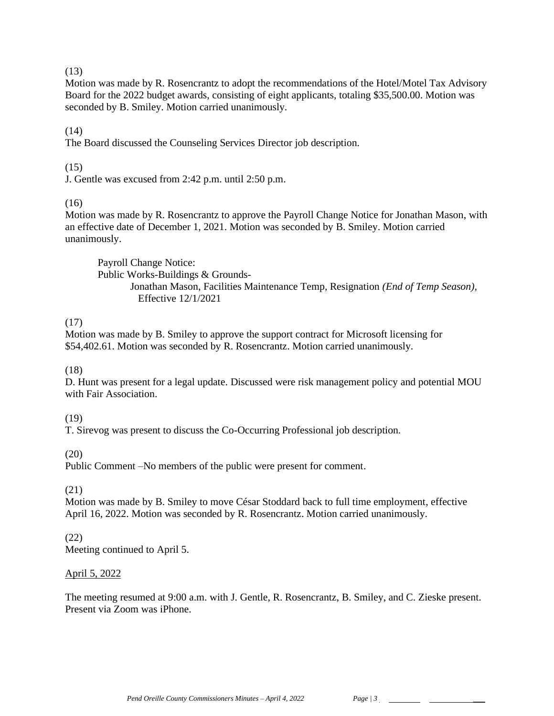# (13)

Motion was made by R. Rosencrantz to adopt the recommendations of the Hotel/Motel Tax Advisory Board for the 2022 budget awards, consisting of eight applicants, totaling \$35,500.00. Motion was seconded by B. Smiley. Motion carried unanimously.

# $(14)$

The Board discussed the Counseling Services Director job description.

# (15)

J. Gentle was excused from 2:42 p.m. until 2:50 p.m.

# (16)

Motion was made by R. Rosencrantz to approve the Payroll Change Notice for Jonathan Mason, with an effective date of December 1, 2021. Motion was seconded by B. Smiley. Motion carried unanimously.

Payroll Change Notice: Public Works-Buildings & Grounds-Jonathan Mason, Facilities Maintenance Temp, Resignation *(End of Temp Season)*, Effective 12/1/2021

# (17)

Motion was made by B. Smiley to approve the support contract for Microsoft licensing for \$54,402.61. Motion was seconded by R. Rosencrantz. Motion carried unanimously.

# (18)

D. Hunt was present for a legal update. Discussed were risk management policy and potential MOU with Fair Association.

# (19)

T. Sirevog was present to discuss the Co-Occurring Professional job description.

# (20)

Public Comment –No members of the public were present for comment.

# (21)

Motion was made by B. Smiley to move César Stoddard back to full time employment, effective April 16, 2022. Motion was seconded by R. Rosencrantz. Motion carried unanimously.

# (22)

Meeting continued to April 5.

# April 5, 2022

The meeting resumed at 9:00 a.m. with J. Gentle, R. Rosencrantz, B. Smiley, and C. Zieske present. Present via Zoom was iPhone.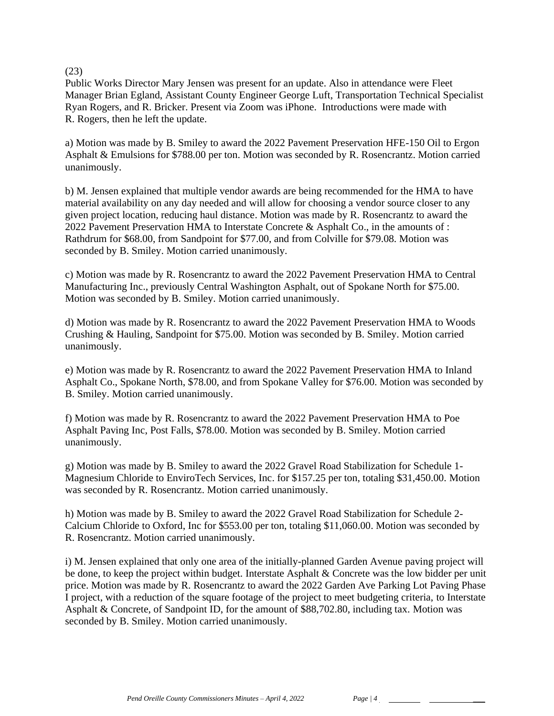### (23)

Public Works Director Mary Jensen was present for an update. Also in attendance were Fleet Manager Brian Egland, Assistant County Engineer George Luft, Transportation Technical Specialist Ryan Rogers, and R. Bricker. Present via Zoom was iPhone. Introductions were made with R. Rogers, then he left the update.

a) Motion was made by B. Smiley to award the 2022 Pavement Preservation HFE-150 Oil to Ergon Asphalt & Emulsions for \$788.00 per ton. Motion was seconded by R. Rosencrantz. Motion carried unanimously.

b) M. Jensen explained that multiple vendor awards are being recommended for the HMA to have material availability on any day needed and will allow for choosing a vendor source closer to any given project location, reducing haul distance. Motion was made by R. Rosencrantz to award the 2022 Pavement Preservation HMA to Interstate Concrete & Asphalt Co., in the amounts of : Rathdrum for \$68.00, from Sandpoint for \$77.00, and from Colville for \$79.08. Motion was seconded by B. Smiley. Motion carried unanimously.

c) Motion was made by R. Rosencrantz to award the 2022 Pavement Preservation HMA to Central Manufacturing Inc., previously Central Washington Asphalt, out of Spokane North for \$75.00. Motion was seconded by B. Smiley. Motion carried unanimously.

d) Motion was made by R. Rosencrantz to award the 2022 Pavement Preservation HMA to Woods Crushing & Hauling, Sandpoint for \$75.00. Motion was seconded by B. Smiley. Motion carried unanimously.

e) Motion was made by R. Rosencrantz to award the 2022 Pavement Preservation HMA to Inland Asphalt Co., Spokane North, \$78.00, and from Spokane Valley for \$76.00. Motion was seconded by B. Smiley. Motion carried unanimously.

f) Motion was made by R. Rosencrantz to award the 2022 Pavement Preservation HMA to Poe Asphalt Paving Inc, Post Falls, \$78.00. Motion was seconded by B. Smiley. Motion carried unanimously.

g) Motion was made by B. Smiley to award the 2022 Gravel Road Stabilization for Schedule 1- Magnesium Chloride to EnviroTech Services, Inc. for \$157.25 per ton, totaling \$31,450.00. Motion was seconded by R. Rosencrantz. Motion carried unanimously.

h) Motion was made by B. Smiley to award the 2022 Gravel Road Stabilization for Schedule 2- Calcium Chloride to Oxford, Inc for \$553.00 per ton, totaling \$11,060.00. Motion was seconded by R. Rosencrantz. Motion carried unanimously.

i) M. Jensen explained that only one area of the initially-planned Garden Avenue paving project will be done, to keep the project within budget. Interstate Asphalt & Concrete was the low bidder per unit price. Motion was made by R. Rosencrantz to award the 2022 Garden Ave Parking Lot Paving Phase I project, with a reduction of the square footage of the project to meet budgeting criteria, to Interstate Asphalt & Concrete, of Sandpoint ID, for the amount of \$88,702.80, including tax. Motion was seconded by B. Smiley. Motion carried unanimously.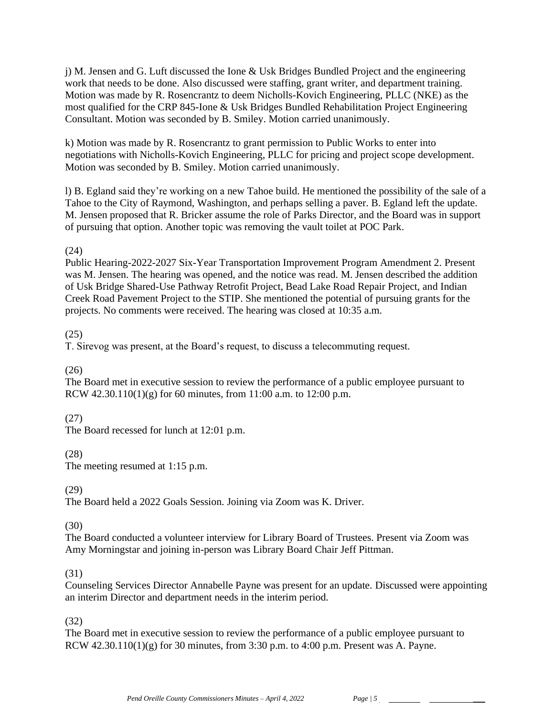j) M. Jensen and G. Luft discussed the Ione & Usk Bridges Bundled Project and the engineering work that needs to be done. Also discussed were staffing, grant writer, and department training. Motion was made by R. Rosencrantz to deem Nicholls-Kovich Engineering, PLLC (NKE) as the most qualified for the CRP 845-Ione & Usk Bridges Bundled Rehabilitation Project Engineering Consultant. Motion was seconded by B. Smiley. Motion carried unanimously.

k) Motion was made by R. Rosencrantz to grant permission to Public Works to enter into negotiations with Nicholls-Kovich Engineering, PLLC for pricing and project scope development. Motion was seconded by B. Smiley. Motion carried unanimously.

l) B. Egland said they're working on a new Tahoe build. He mentioned the possibility of the sale of a Tahoe to the City of Raymond, Washington, and perhaps selling a paver. B. Egland left the update. M. Jensen proposed that R. Bricker assume the role of Parks Director, and the Board was in support of pursuing that option. Another topic was removing the vault toilet at POC Park.

# (24)

Public Hearing-2022-2027 Six-Year Transportation Improvement Program Amendment 2. Present was M. Jensen. The hearing was opened, and the notice was read. M. Jensen described the addition of Usk Bridge Shared-Use Pathway Retrofit Project, Bead Lake Road Repair Project, and Indian Creek Road Pavement Project to the STIP. She mentioned the potential of pursuing grants for the projects. No comments were received. The hearing was closed at 10:35 a.m.

### (25)

T. Sirevog was present, at the Board's request, to discuss a telecommuting request.

# (26)

The Board met in executive session to review the performance of a public employee pursuant to RCW 42.30.110(1)(g) for 60 minutes, from 11:00 a.m. to 12:00 p.m.

# (27)

The Board recessed for lunch at 12:01 p.m.

# (28)

The meeting resumed at 1:15 p.m.

### (29)

The Board held a 2022 Goals Session. Joining via Zoom was K. Driver.

# (30)

The Board conducted a volunteer interview for Library Board of Trustees. Present via Zoom was Amy Morningstar and joining in-person was Library Board Chair Jeff Pittman.

# (31)

Counseling Services Director Annabelle Payne was present for an update. Discussed were appointing an interim Director and department needs in the interim period.

# (32)

The Board met in executive session to review the performance of a public employee pursuant to RCW  $42.30.110(1)(g)$  for 30 minutes, from 3:30 p.m. to 4:00 p.m. Present was A. Payne.